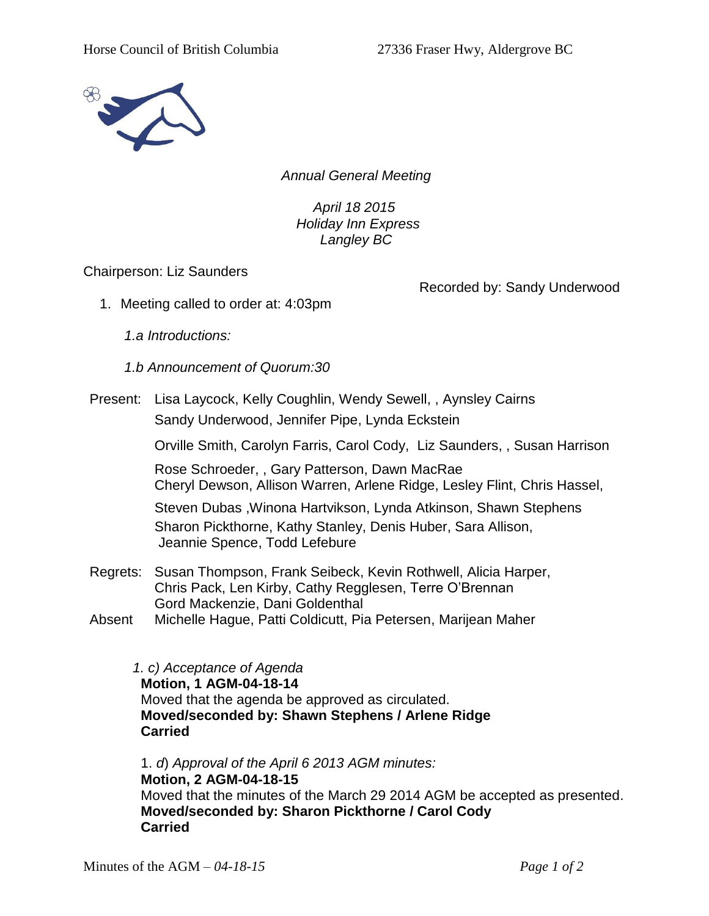

*Annual General Meeting*

*April 18 2015 Holiday Inn Express Langley BC*

Chairperson: Liz Saunders

Recorded by: Sandy Underwood

1. Meeting called to order at: 4:03pm

*1.a Introductions:*

*1.b Announcement of Quorum:30*

Present: Lisa Laycock, Kelly Coughlin, Wendy Sewell, , Aynsley Cairns Sandy Underwood, Jennifer Pipe, Lynda Eckstein

Orville Smith, Carolyn Farris, Carol Cody, Liz Saunders, , Susan Harrison

Rose Schroeder, , Gary Patterson, Dawn MacRae Cheryl Dewson, Allison Warren, Arlene Ridge, Lesley Flint, Chris Hassel,

Steven Dubas ,Winona Hartvikson, Lynda Atkinson, Shawn Stephens Sharon Pickthorne, Kathy Stanley, Denis Huber, Sara Allison, Jeannie Spence, Todd Lefebure

- Regrets: Susan Thompson, Frank Seibeck, Kevin Rothwell, Alicia Harper, Chris Pack, Len Kirby, Cathy Regglesen, Terre O'Brennan Gord Mackenzie, Dani Goldenthal
- Absent Michelle Hague, Patti Coldicutt, Pia Petersen, Marijean Maher

*1. c) Acceptance of Agenda* **Motion, 1 AGM-04-18-14** Moved that the agenda be approved as circulated. **Moved/seconded by: Shawn Stephens / Arlene Ridge Carried**

1. *d*) *Approval of the April 6 2013 AGM minutes:*  **Motion, 2 AGM-04-18-15** Moved that the minutes of the March 29 2014 AGM be accepted as presented. **Moved/seconded by: Sharon Pickthorne / Carol Cody Carried**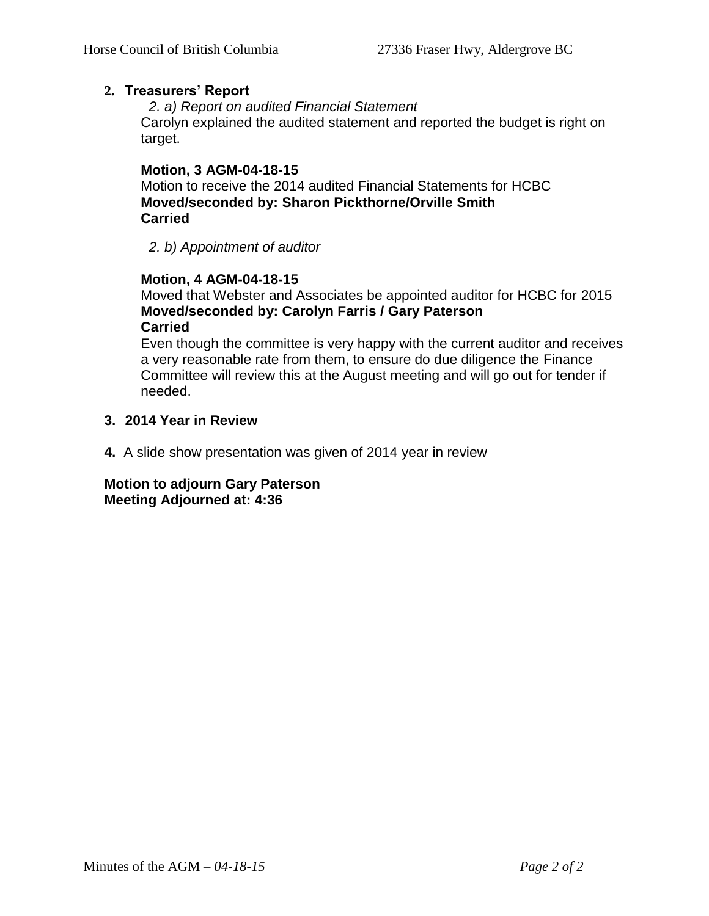## **2. Treasurers' Report**

*2. a) Report on audited Financial Statement* Carolyn explained the audited statement and reported the budget is right on target.

## **Motion, 3 AGM-04-18-15**

Motion to receive the 2014 audited Financial Statements for HCBC **Moved/seconded by: Sharon Pickthorne/Orville Smith Carried**

*2. b) Appointment of auditor*

## **Motion, 4 AGM-04-18-15**

Moved that Webster and Associates be appointed auditor for HCBC for 2015 **Moved/seconded by: Carolyn Farris / Gary Paterson Carried**

Even though the committee is very happy with the current auditor and receives a very reasonable rate from them, to ensure do due diligence the Finance Committee will review this at the August meeting and will go out for tender if needed.

## **3. 2014 Year in Review**

**4.** A slide show presentation was given of 2014 year in review

**Motion to adjourn Gary Paterson Meeting Adjourned at: 4:36**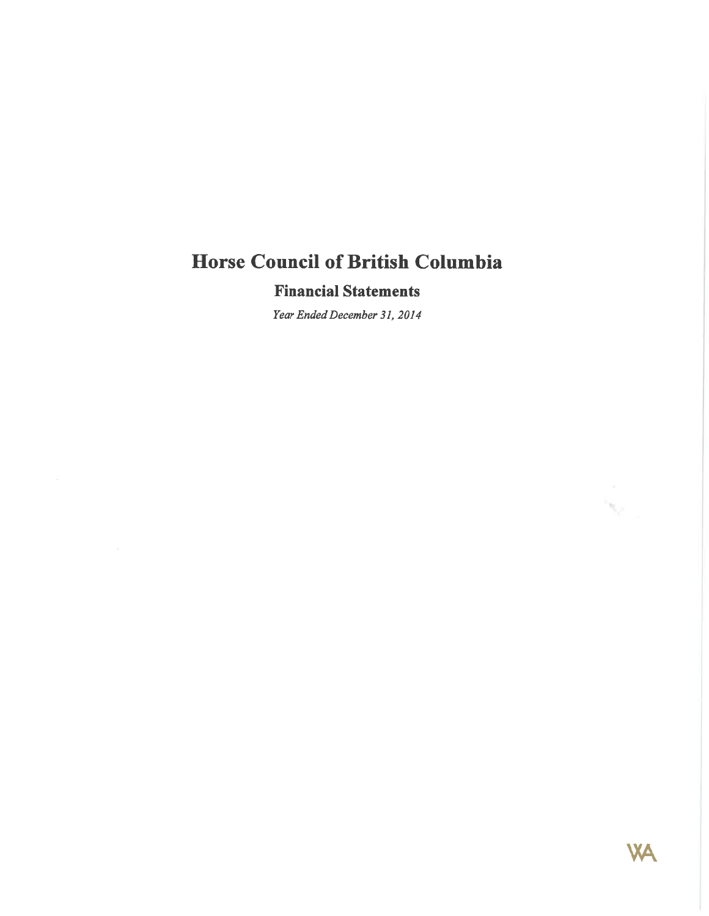## **Financial Statements**

Year Ended December 31, 2014



 $\mathcal{P}^{\mathcal{P}^{\mathcal{P}^{\mathcal{P}}}}$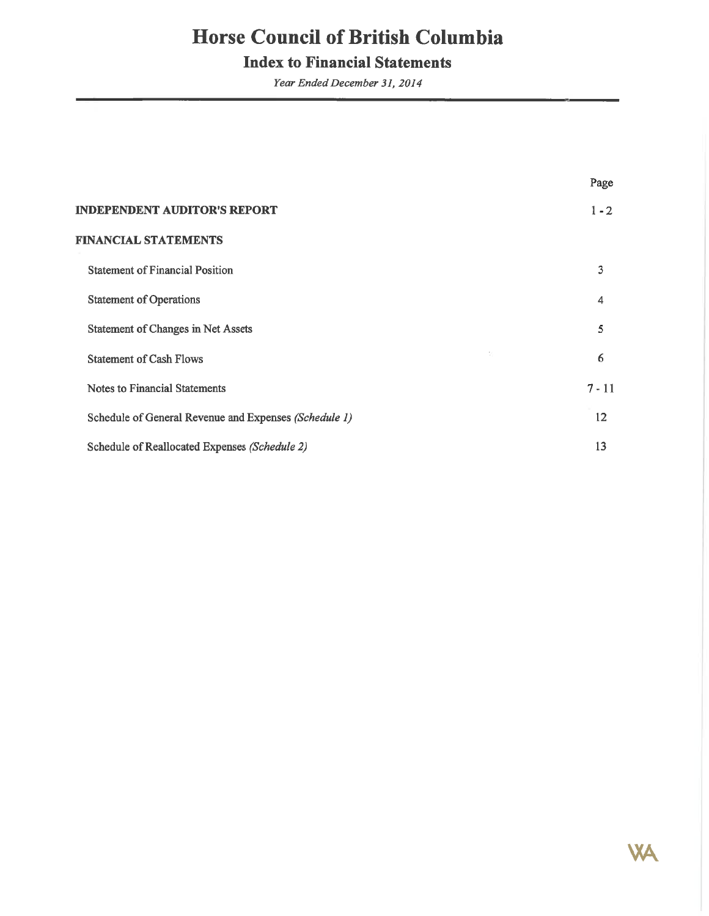# **Index to Financial Statements**

Year Ended December 31, 2014

|                                                       | Page              |
|-------------------------------------------------------|-------------------|
| <b>INDEPENDENT AUDITOR'S REPORT</b>                   | $1 - 2$           |
| <b>FINANCIAL STATEMENTS</b>                           |                   |
| <b>Statement of Financial Position</b>                | 3                 |
| <b>Statement of Operations</b>                        | 4                 |
| Statement of Changes in Net Assets                    | 5                 |
| V)<br><b>Statement of Cash Flows</b>                  | 6                 |
| <b>Notes to Financial Statements</b>                  | $7 - 11$          |
| Schedule of General Revenue and Expenses (Schedule 1) | $12 \overline{ }$ |
| Schedule of Reallocated Expenses (Schedule 2)         | 13                |

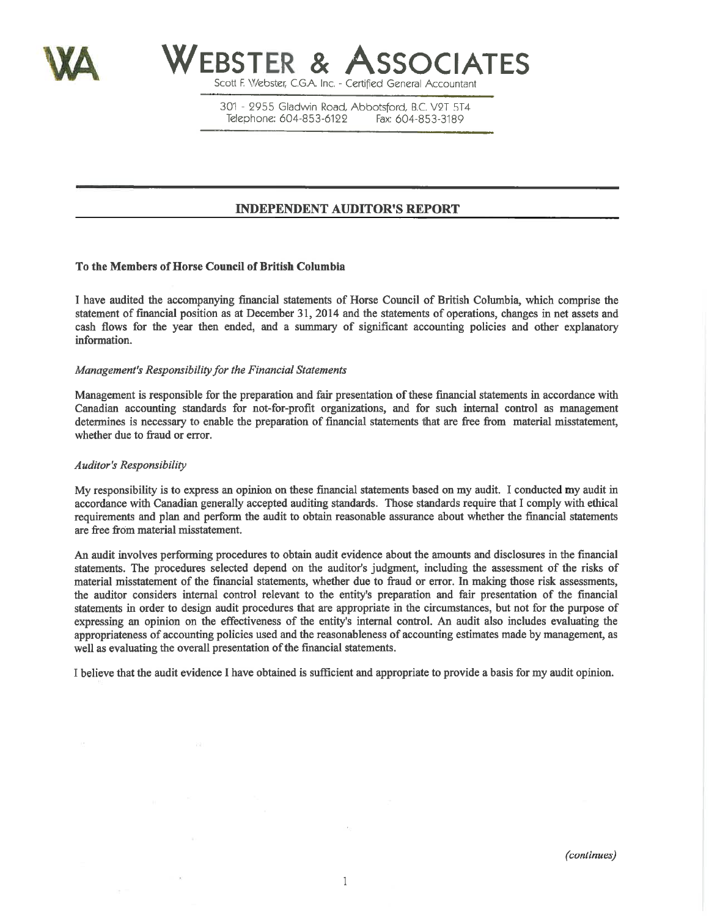



Scott F. Webster, C.G.A. Inc. - Certified General Accountant

301 - 2955 Gladwin Road, Abbotsford, B.C. V2T 5T4 Telephone: 604-853-6122 Fax: 604-853-3189

## **INDEPENDENT AUDITOR'S REPORT**

## To the Members of Horse Council of British Columbia

I have audited the accompanying financial statements of Horse Council of British Columbia, which comprise the statement of financial position as at December 31, 2014 and the statements of operations, changes in net assets and cash flows for the year then ended, and a summary of significant accounting policies and other explanatory information.

## Management's Responsibility for the Financial Statements

Management is responsible for the preparation and fair presentation of these financial statements in accordance with Canadian accounting standards for not-for-profit organizations, and for such internal control as management determines is necessary to enable the preparation of financial statements that are free from material misstatement, whether due to fraud or error.

### **Auditor's Responsibility**

My responsibility is to express an opinion on these financial statements based on my audit. I conducted my audit in accordance with Canadian generally accepted auditing standards. Those standards require that I comply with ethical requirements and plan and perform the audit to obtain reasonable assurance about whether the financial statements are free from material misstatement.

An audit involves performing procedures to obtain audit evidence about the amounts and disclosures in the financial statements. The procedures selected depend on the auditor's judgment, including the assessment of the risks of material misstatement of the financial statements, whether due to fraud or error. In making those risk assessments, the auditor considers internal control relevant to the entity's preparation and fair presentation of the financial statements in order to design audit procedures that are appropriate in the circumstances, but not for the purpose of expressing an opinion on the effectiveness of the entity's internal control. An audit also includes evaluating the appropriateness of accounting policies used and the reasonableness of accounting estimates made by management, as well as evaluating the overall presentation of the financial statements.

I believe that the audit evidence I have obtained is sufficient and appropriate to provide a basis for my audit opinion.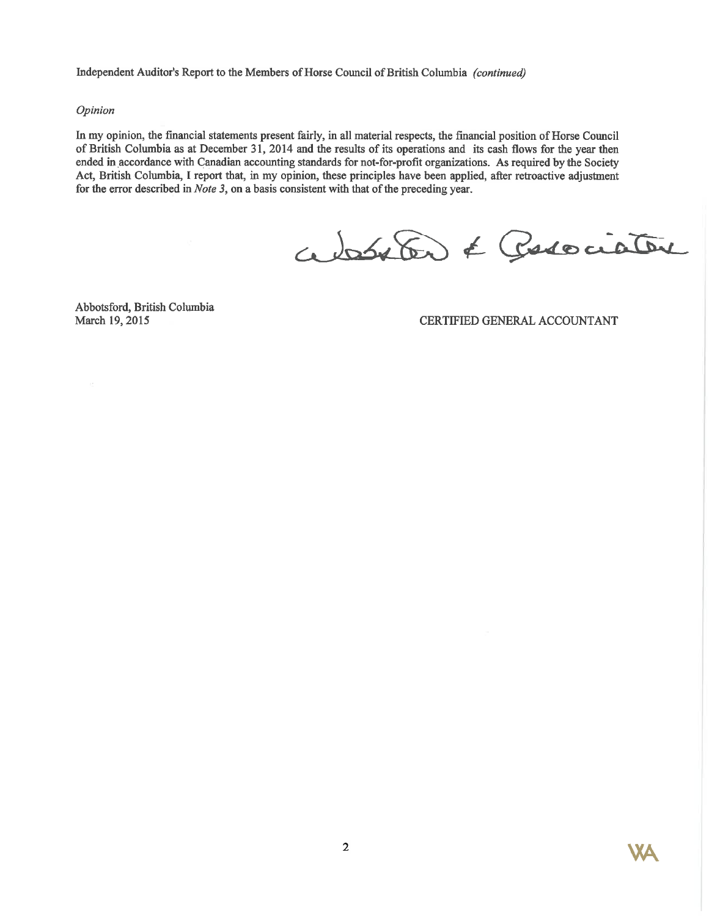Independent Auditor's Report to the Members of Horse Council of British Columbia (continued)

## Opinion

In my opinion, the financial statements present fairly, in all material respects, the financial position of Horse Council of British Columbia as at December 31, 2014 and the results of its operations and its cash flows for the year then ended in accordance with Canadian accounting standards for not-for-profit organizations. As required by the Society Act, British Columbia, I report that, in my opinion, these principles have been applied, after retroactive adjustment for the error described in *Note 3*, on a basis consistent with that of the preceding year.

absolo & Posociator

Abbotsford, British Columbia March 19, 2015

CERTIFIED GENERAL ACCOUNTANT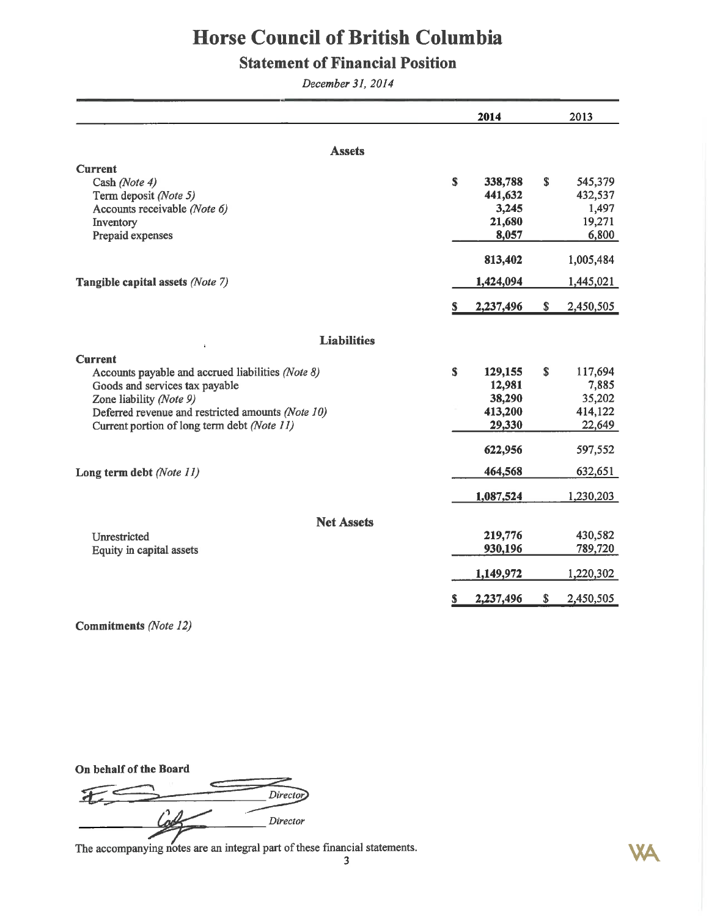# **Statement of Financial Position**

December 31, 2014

|                                                   |    | 2014      |    | 2013      |
|---------------------------------------------------|----|-----------|----|-----------|
| <b>Assets</b>                                     |    |           |    |           |
| <b>Current</b>                                    |    |           |    |           |
| Cash (Note 4)                                     | \$ | 338,788   | \$ | 545,379   |
| Term deposit (Note 5)                             |    | 441,632   |    | 432,537   |
| Accounts receivable (Note 6)                      |    | 3,245     |    | 1,497     |
| Inventory                                         |    | 21,680    |    | 19,271    |
| Prepaid expenses                                  |    | 8,057     |    | 6,800     |
|                                                   |    | 813,402   |    | 1,005,484 |
| Tangible capital assets (Note 7)                  |    | 1,424,094 |    | 1,445,021 |
|                                                   | S. | 2,237,496 | \$ | 2,450,505 |
| <b>Liabilities</b>                                |    |           |    |           |
| <b>Current</b>                                    |    |           |    |           |
| Accounts payable and accrued liabilities (Note 8) | \$ | 129,155   | S. | 117,694   |
| Goods and services tax payable                    |    | 12,981    |    | 7,885     |
| Zone liability (Note 9)                           |    | 38,290    |    | 35,202    |
| Deferred revenue and restricted amounts (Note 10) |    | 413,200   |    | 414,122   |
| Current portion of long term debt (Note 11)       |    | 29,330    |    | 22,649    |
|                                                   |    | 622,956   |    | 597,552   |
| Long term debt (Note 11)                          |    | 464,568   |    | 632,651   |
|                                                   |    | 1,087,524 |    | 1,230,203 |
| <b>Net Assets</b>                                 |    |           |    |           |
| Unrestricted                                      |    | 219,776   |    | 430,582   |
| Equity in capital assets                          |    | 930,196   |    | 789,720   |
|                                                   |    | 1,149,972 |    | 1,220,302 |
|                                                   | S  | 2,237,496 | \$ | 2,450,505 |

**Commitments** (Note 12)

On behalf of the Board

 $\overline{\mathbf{d}}$ Director ğ, Director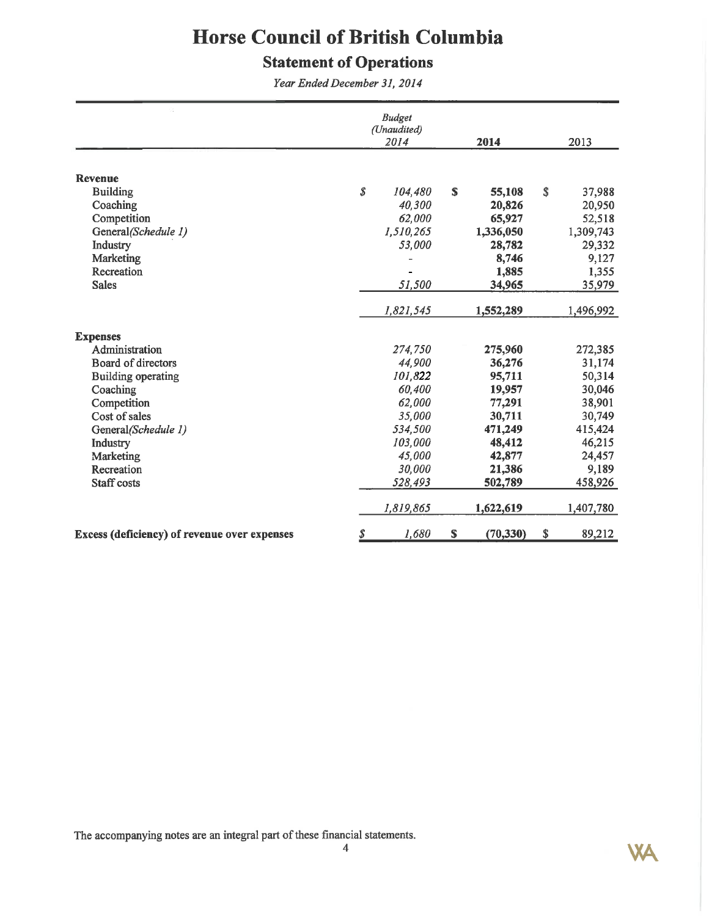# **Statement of Operations**

Year Ended December 31, 2014

|                                              |                  | <b>Budget</b><br>(Unaudited)<br>2014 |    | 2014             |    | 2013                |
|----------------------------------------------|------------------|--------------------------------------|----|------------------|----|---------------------|
|                                              |                  |                                      |    |                  |    |                     |
| <b>Revenue</b>                               | $\boldsymbol{s}$ |                                      | S  |                  | S  |                     |
| <b>Building</b><br>Coaching                  |                  | 104,480<br>40,300                    |    | 55,108           |    | 37,988<br>20,950    |
| Competition                                  |                  | 62,000                               |    | 20,826<br>65,927 |    |                     |
| General(Schedule 1)                          |                  | 1,510,265                            |    | 1,336,050        |    | 52,518<br>1,309,743 |
| Industry                                     |                  | 53,000                               |    | 28,782           |    | 29,332              |
| Marketing                                    |                  |                                      |    | 8,746            |    | 9,127               |
| Recreation                                   |                  |                                      |    | 1,885            |    | 1,355               |
| <b>Sales</b>                                 |                  | 51,500                               |    | 34,965           |    | 35,979              |
|                                              |                  |                                      |    |                  |    |                     |
|                                              |                  | 1,821,545                            |    | 1,552,289        |    | 1,496,992           |
| <b>Expenses</b>                              |                  |                                      |    |                  |    |                     |
| Administration                               |                  | 274,750                              |    | 275,960          |    | 272,385             |
| <b>Board of directors</b>                    |                  | 44,900                               |    | 36,276           |    | 31,174              |
| <b>Building operating</b>                    |                  | 101,822                              |    | 95,711           |    | 50,314              |
| Coaching                                     |                  | 60,400                               |    | 19,957           |    | 30,046              |
| Competition                                  |                  | 62,000                               |    | 77,291           |    | 38,901              |
| Cost of sales                                |                  | 35,000                               |    | 30,711           |    | 30,749              |
| General(Schedule 1)                          |                  | 534,500                              |    | 471,249          |    | 415,424             |
| Industry                                     |                  | 103,000                              |    | 48,412           |    | 46,215              |
| Marketing                                    |                  | 45,000                               |    | 42,877           |    | 24,457              |
| Recreation                                   |                  | 30,000                               |    | 21,386           |    | 9,189               |
| Staff costs                                  |                  | 528,493                              |    | 502,789          |    | 458,926             |
|                                              |                  | 1,819,865                            |    | 1,622,619        |    | 1,407,780           |
| Excess (deficiency) of revenue over expenses | \$               | 1,680                                | \$ | (70, 330)        | \$ | 89,212              |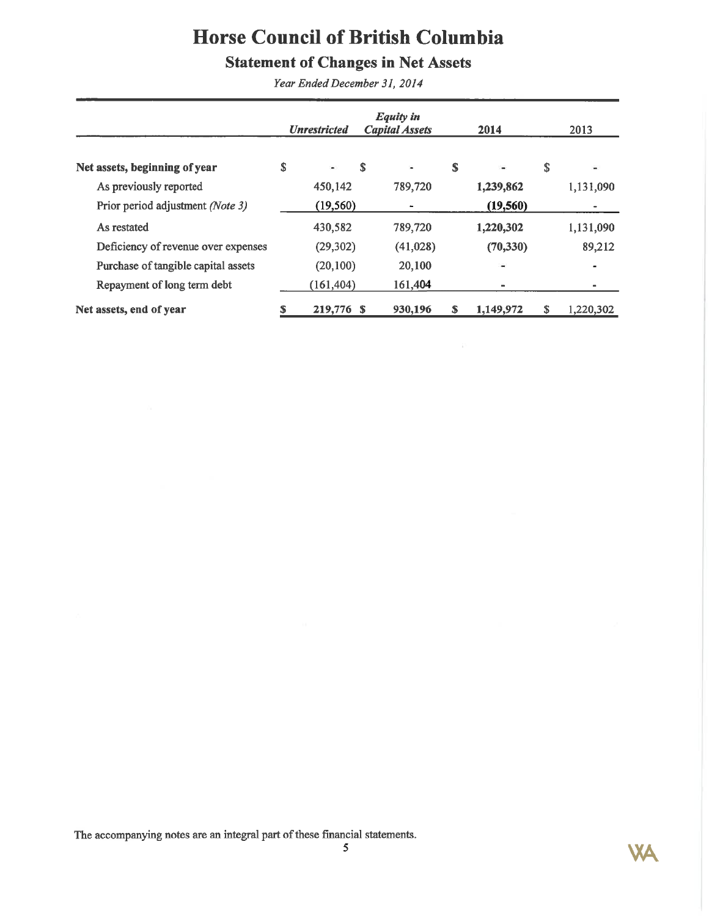# **Statement of Changes in Net Assets**

Year Ended December 31, 2014

|                                     |   | <b>Unrestricted</b> |   | <b>Equity in</b><br><b>Capital Assets</b> |    | 2014           | 2013                         |
|-------------------------------------|---|---------------------|---|-------------------------------------------|----|----------------|------------------------------|
| Net assets, beginning of year       | S | ¥.                  | S | $\blacksquare$                            | S  | ù,             | \$<br>×,                     |
| As previously reported              |   | 450,142             |   | 789,720                                   |    | 1,239,862      | 1,131,090                    |
| Prior period adjustment (Note 3)    |   | (19, 560)           |   | ۰                                         |    | (19, 560)      |                              |
| As restated                         |   | 430,582             |   | 789,720                                   |    | 1,220,302      | 1,131,090                    |
| Deficiency of revenue over expenses |   | (29, 302)           |   | (41,028)                                  |    | (70, 330)      | 89,212                       |
| Purchase of tangible capital assets |   | (20, 100)           |   | 20,100                                    |    | ٠              | $\blacksquare$               |
| Repayment of long term debt         |   | (161, 404)          |   | 161,404                                   |    | $\blacksquare$ | $\qquad \qquad \blacksquare$ |
| Net assets, end of year             |   | 219,776 \$          |   | 930,196                                   | \$ | 1,149,972      | 1,220,302                    |

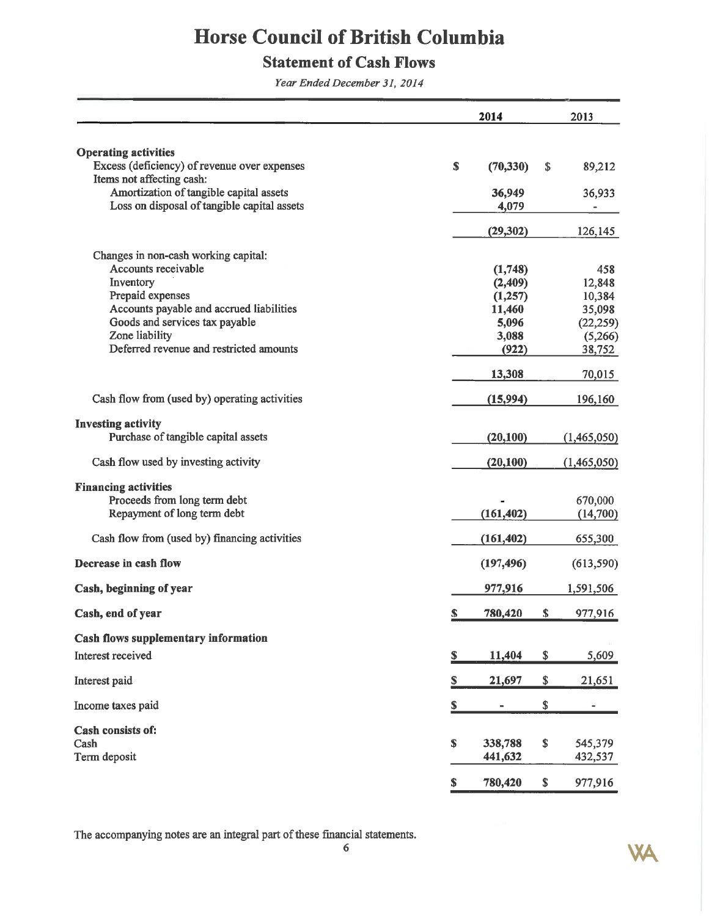# **Statement of Cash Flows**

Year Ended December 31, 2014

|                                                                                                          |             | 2014               | 2013                     |
|----------------------------------------------------------------------------------------------------------|-------------|--------------------|--------------------------|
|                                                                                                          |             |                    |                          |
| <b>Operating activities</b><br>Excess (deficiency) of revenue over expenses<br>Items not affecting cash: | $\mathbf S$ | (70, 330)          | \$<br>89,212             |
| Amortization of tangible capital assets<br>Loss on disposal of tangible capital assets                   |             | 36,949<br>4,079    | 36,933                   |
|                                                                                                          |             | (29, 302)          | 126,145                  |
| Changes in non-cash working capital:<br>Accounts receivable                                              |             | (1,748)            | 458                      |
| Inventory                                                                                                |             | (2,409)            | 12,848                   |
| Prepaid expenses                                                                                         |             | (1,257)            | 10,384                   |
| Accounts payable and accrued liabilities                                                                 |             | 11,460             | 35,098                   |
| Goods and services tax payable                                                                           |             | 5,096              | (22, 259)                |
| Zone liability                                                                                           |             | 3,088              | (5,266)                  |
| Deferred revenue and restricted amounts                                                                  |             | (922)              | 38,752                   |
|                                                                                                          |             | 13,308             | 70,015                   |
| Cash flow from (used by) operating activities                                                            |             | (15,994)           | 196,160                  |
| <b>Investing activity</b><br>Purchase of tangible capital assets                                         |             | (20,100)           | (1,465,050)              |
|                                                                                                          |             |                    |                          |
| Cash flow used by investing activity                                                                     |             | (20, 100)          | (1,465,050)              |
| <b>Financing activities</b>                                                                              |             |                    |                          |
| Proceeds from long term debt                                                                             |             |                    | 670,000                  |
| Repayment of long term debt                                                                              |             | (161, 402)         | (14,700)                 |
| Cash flow from (used by) financing activities                                                            |             | (161, 402)         | 655,300                  |
| Decrease in cash flow                                                                                    |             | (197, 496)         | (613, 590)               |
| Cash, beginning of year                                                                                  |             | 977,916            | 1,591,506                |
| Cash, end of year                                                                                        | \$          | 780,420            | \$<br>977,916            |
| Cash flows supplementary information                                                                     |             |                    |                          |
| Interest received                                                                                        | S           | 11,404             | \$<br>5,609              |
| Interest paid                                                                                            | \$          | 21,697             | \$<br>21,651             |
| Income taxes paid                                                                                        | \$          |                    | \$<br>٠                  |
| Cash consists of:                                                                                        |             |                    |                          |
| Cash<br>Term deposit                                                                                     | \$          | 338,788<br>441,632 | \$<br>545,379<br>432,537 |
|                                                                                                          | \$          | 780,420            | \$<br>977,916            |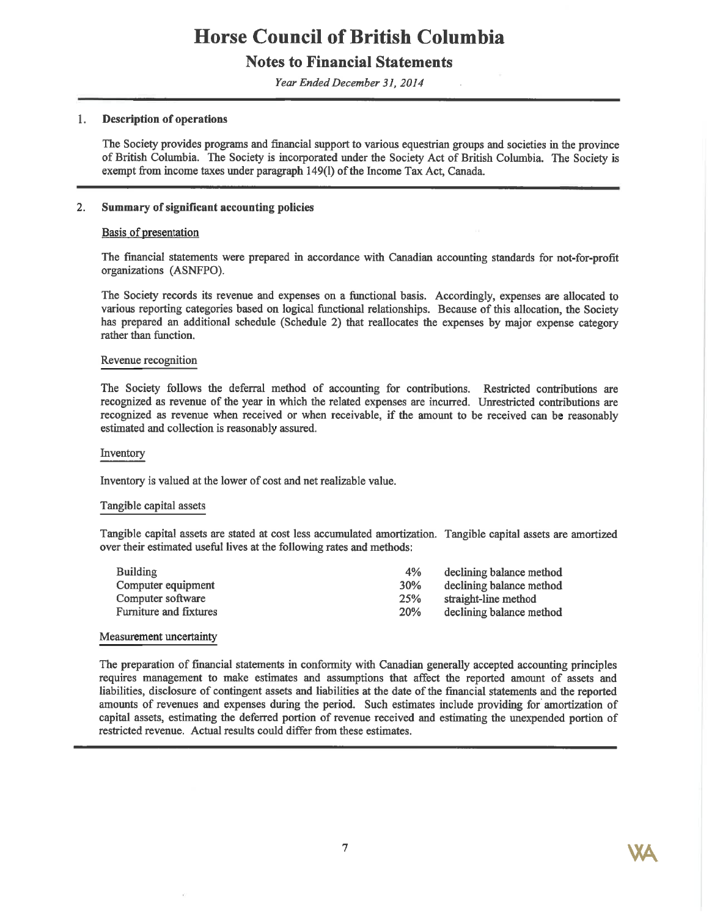## **Notes to Financial Statements**

Year Ended December 31, 2014

#### 1. **Description of operations**

The Society provides programs and financial support to various equestrian groups and societies in the province of British Columbia. The Society is incorporated under the Society Act of British Columbia. The Society is exempt from income taxes under paragraph 149(1) of the Income Tax Act, Canada.

#### $2.$ Summary of significant accounting policies

## Basis of presentation

The financial statements were prepared in accordance with Canadian accounting standards for not-for-profit organizations (ASNFPO).

The Society records its revenue and expenses on a functional basis. Accordingly, expenses are allocated to various reporting categories based on logical functional relationships. Because of this allocation, the Society has prepared an additional schedule (Schedule 2) that reallocates the expenses by major expense category rather than function.

## Revenue recognition

The Society follows the deferral method of accounting for contributions. Restricted contributions are recognized as revenue of the year in which the related expenses are incurred. Unrestricted contributions are recognized as revenue when received or when receivable, if the amount to be received can be reasonably estimated and collection is reasonably assured.

#### Inventory

Inventory is valued at the lower of cost and net realizable value.

### Tangible capital assets

Tangible capital assets are stated at cost less accumulated amortization. Tangible capital assets are amortized over their estimated useful lives at the following rates and methods:

| <b>Building</b>               | 4%         | declining balance method |
|-------------------------------|------------|--------------------------|
| Computer equipment            | 30%        | declining balance method |
| Computer software             | 25%        | straight-line method     |
| <b>Furniture and fixtures</b> | <b>20%</b> | declining balance method |
|                               |            |                          |

### Measurement uncertainty

The preparation of financial statements in conformity with Canadian generally accepted accounting principles requires management to make estimates and assumptions that affect the reported amount of assets and liabilities, disclosure of contingent assets and liabilities at the date of the financial statements and the reported amounts of revenues and expenses during the period. Such estimates include providing for amortization of capital assets, estimating the deferred portion of revenue received and estimating the unexpended portion of restricted revenue. Actual results could differ from these estimates.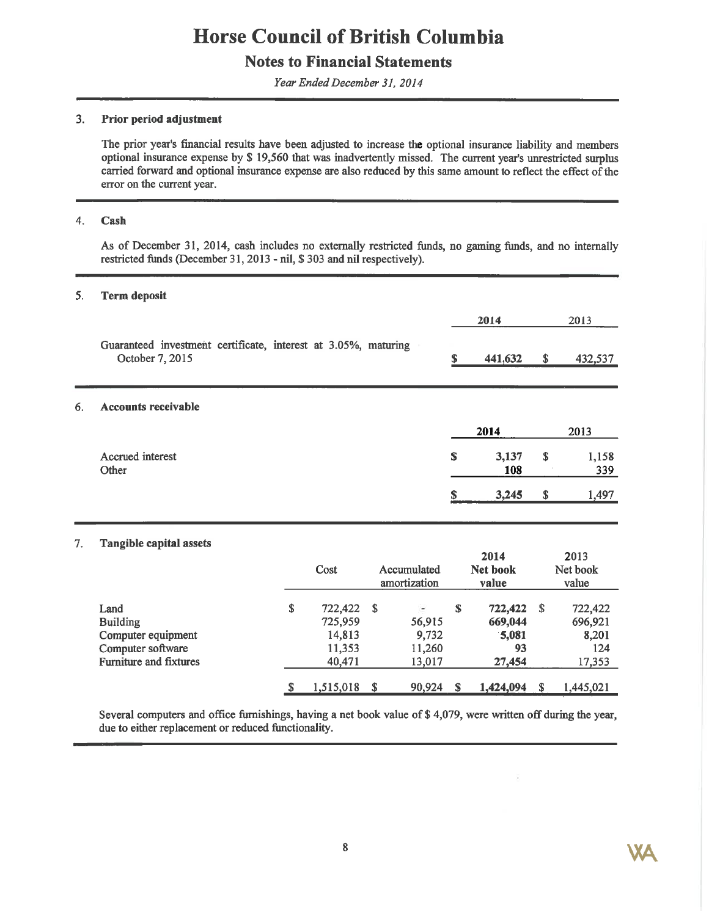## **Notes to Financial Statements**

Year Ended December 31, 2014

#### $3<sub>1</sub>$ Prior period adjustment

The prior year's financial results have been adjusted to increase the optional insurance liability and members optional insurance expense by \$ 19,560 that was inadvertently missed. The current year's unrestricted surplus carried forward and optional insurance expense are also reduced by this same amount to reflect the effect of the error on the current year.

#### 4. Cash

6.

As of December 31, 2014, cash includes no externally restricted funds, no gaming funds, and no internally restricted funds (December 31, 2013 - nil, \$303 and nil respectively).

#### 5. **Term deposit**

|                                                                                   |    | 2014         | 2013               |
|-----------------------------------------------------------------------------------|----|--------------|--------------------|
| Guaranteed investment certificate, interest at 3.05%, maturing<br>October 7, 2015 | S  | 441,632      | \$<br>432,537      |
| <b>Accounts receivable</b>                                                        |    |              |                    |
|                                                                                   |    | 2014         | 2013               |
| Accrued interest<br>Other                                                         | \$ | 3,137<br>108 | \$<br>1,158<br>339 |
|                                                                                   | S  | 3,245        | \$<br>1,497        |

#### **Tangible capital assets** 7.

|                                                                                                     | Cost                                                   |      | Accumulated<br>amortization               |    | 2014<br>Net book<br>value                   |    | 2013<br>Net book<br>value                    |
|-----------------------------------------------------------------------------------------------------|--------------------------------------------------------|------|-------------------------------------------|----|---------------------------------------------|----|----------------------------------------------|
| Land<br><b>Building</b><br>Computer equipment<br>Computer software<br><b>Furniture and fixtures</b> | \$<br>722,422<br>725,959<br>14,813<br>11,353<br>40,471 | - \$ | ÷.<br>56,915<br>9,732<br>11,260<br>13.017 | S  | 722,422<br>669,044<br>5,081<br>93<br>27,454 | -S | 722,422<br>696,921<br>8,201<br>124<br>17,353 |
|                                                                                                     | \$<br>1,515,018                                        | S    | 90,924                                    | -S | 1,424,094                                   | S  | 1,445,021                                    |

Several computers and office furnishings, having a net book value of \$4,079, were written off during the year, due to either replacement or reduced functionality.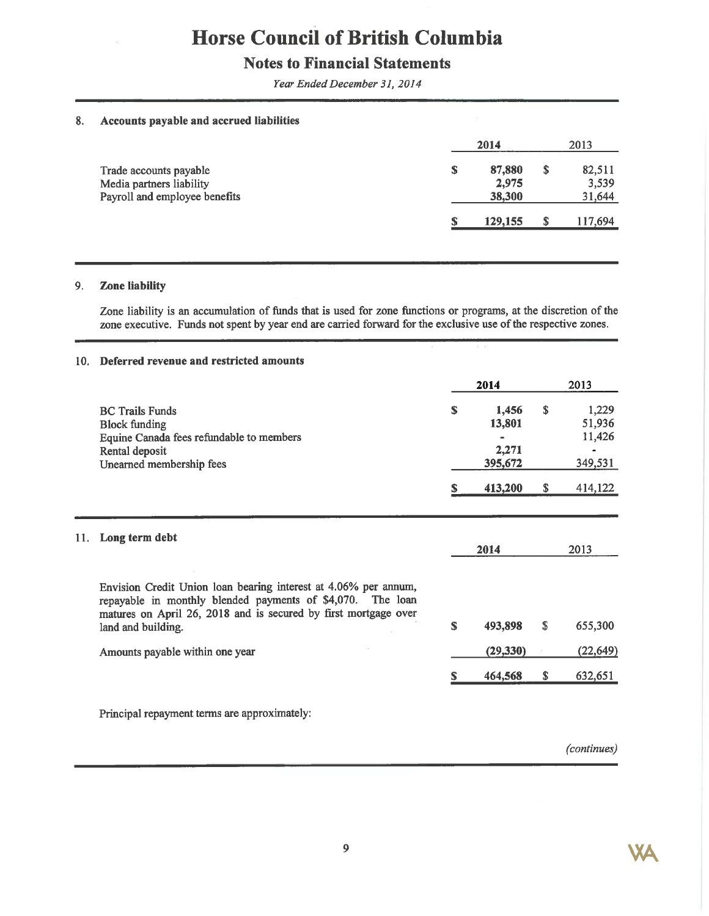## **Notes to Financial Statements**

Year Ended December 31, 2014

#### Accounts payable and accrued liabilities 8.

|                                                                                     |   | 2014                      |   | 2013                      |
|-------------------------------------------------------------------------------------|---|---------------------------|---|---------------------------|
| Trade accounts payable<br>Media partners liability<br>Payroll and employee benefits | S | 87,880<br>2.975<br>38,300 | S | 82,511<br>3,539<br>31,644 |
|                                                                                     |   | 129,155                   | S | 117,694                   |

#### $9<sub>1</sub>$ Zone liability

Zone liability is an accumulation of funds that is used for zone functions or programs, at the discretion of the zone executive. Funds not spent by year end are carried forward for the exclusive use of the respective zones.

### 10. Deferred revenue and restricted amounts

|     |                                                                                                                                                                                                                        |    | 2014                                |    | 2013                                 |
|-----|------------------------------------------------------------------------------------------------------------------------------------------------------------------------------------------------------------------------|----|-------------------------------------|----|--------------------------------------|
|     | <b>BC Trails Funds</b><br><b>Block funding</b><br>Equine Canada fees refundable to members<br>Rental deposit<br>Unearned membership fees                                                                               | S  | 1,456<br>13,801<br>2,271<br>395,672 | S. | 1,229<br>51,936<br>11,426<br>349,531 |
|     |                                                                                                                                                                                                                        | S  | 413,200                             | \$ | 414,122                              |
| 11. | Long term debt                                                                                                                                                                                                         |    | 2014                                |    | 2013                                 |
|     | Envision Credit Union loan bearing interest at 4.06% per annum,<br>repayable in monthly blended payments of \$4,070. The loan<br>matures on April 26, 2018 and is secured by first mortgage over<br>land and building. | \$ | 493,898                             | \$ | 655,300                              |
|     | Amounts payable within one year                                                                                                                                                                                        |    | (29, 330)                           |    | (22, 649)                            |
|     |                                                                                                                                                                                                                        | S  | 464,568                             | \$ | 632,651                              |

Principal repayment terms are approximately:

(continues)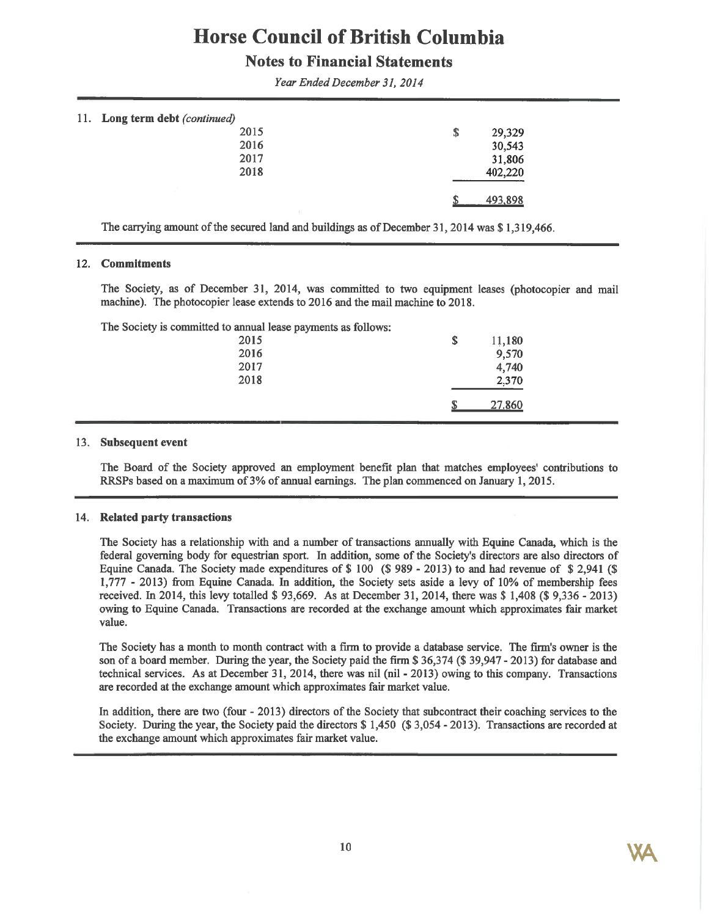## **Notes to Financial Statements**

| 11. Long term debt (continued) |      |              |  |
|--------------------------------|------|--------------|--|
|                                | 2015 | 29,329<br>\$ |  |
|                                | 2016 | 30,543       |  |
|                                | 2017 | 31,806       |  |
|                                | 2018 | 402,220      |  |
|                                |      | 493,898      |  |
|                                |      |              |  |

Year Ended December 31, 2014

The carrying amount of the secured land and buildings as of December 31, 2014 was \$1,319,466.

## 12. Commitments

The Society, as of December 31, 2014, was committed to two equipment leases (photocopier and mail machine). The photocopier lease extends to 2016 and the mail machine to 2018.

The Society is committed to annual lease payments as follows:

| \$<br>11,180<br>9,570<br>4,740 |
|--------------------------------|
| 2,370                          |
| 27,860<br>ጡ<br>- 13            |
|                                |

## 13. Subsequent event

The Board of the Society approved an employment benefit plan that matches employees' contributions to RRSPs based on a maximum of 3% of annual earnings. The plan commenced on January 1, 2015.

### 14. Related party transactions

The Society has a relationship with and a number of transactions annually with Equine Canada, which is the federal governing body for equestrian sport. In addition, some of the Society's directors are also directors of Equine Canada. The Society made expenditures of \$100 (\$989 - 2013) to and had revenue of \$2,941 (\$ 1,777 - 2013) from Equine Canada. In addition, the Society sets aside a levy of 10% of membership fees received. In 2014, this levy totalled \$93,669. As at December 31, 2014, there was \$1,408 (\$9,336 - 2013) owing to Equine Canada. Transactions are recorded at the exchange amount which approximates fair market value.

The Society has a month to month contract with a firm to provide a database service. The firm's owner is the son of a board member. During the year, the Society paid the firm \$36,374 (\$39,947 - 2013) for database and technical services. As at December 31, 2014, there was nil (nil - 2013) owing to this company. Transactions are recorded at the exchange amount which approximates fair market value.

In addition, there are two (four - 2013) directors of the Society that subcontract their coaching services to the Society. During the year, the Society paid the directors \$ 1,450 (\$3,054 - 2013). Transactions are recorded at the exchange amount which approximates fair market value.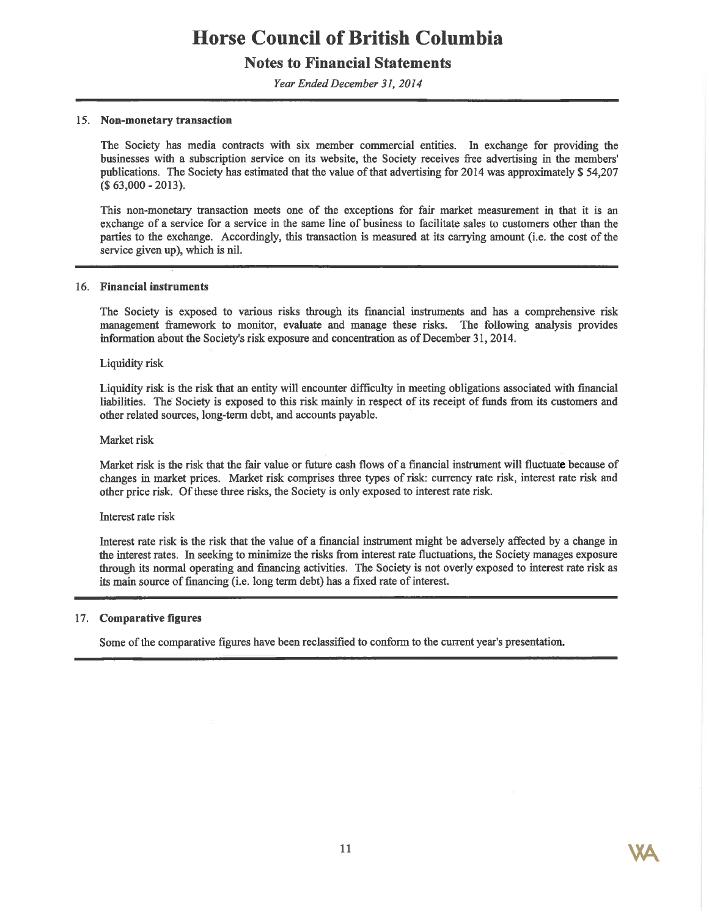## **Notes to Financial Statements**

Year Ended December 31, 2014

### 15. Non-monetary transaction

The Society has media contracts with six member commercial entities. In exchange for providing the businesses with a subscription service on its website, the Society receives free advertising in the members' publications. The Society has estimated that the value of that advertising for 2014 was approximately \$54,207  $(S63,000 - 2013)$ .

This non-monetary transaction meets one of the exceptions for fair market measurement in that it is an exchange of a service for a service in the same line of business to facilitate sales to customers other than the parties to the exchange. Accordingly, this transaction is measured at its carrying amount (i.e. the cost of the service given up), which is nil.

#### 16. Financial instruments

The Society is exposed to various risks through its financial instruments and has a comprehensive risk management framework to monitor, evaluate and manage these risks. The following analysis provides information about the Society's risk exposure and concentration as of December 31, 2014.

#### **Liquidity risk**

Liquidity risk is the risk that an entity will encounter difficulty in meeting obligations associated with financial liabilities. The Society is exposed to this risk mainly in respect of its receipt of funds from its customers and other related sources, long-term debt, and accounts payable.

#### Market risk

Market risk is the risk that the fair value or future cash flows of a financial instrument will fluctuate because of changes in market prices. Market risk comprises three types of risk: currency rate risk, interest rate risk and other price risk. Of these three risks, the Society is only exposed to interest rate risk.

#### Interest rate risk

Interest rate risk is the risk that the value of a financial instrument might be adversely affected by a change in the interest rates. In seeking to minimize the risks from interest rate fluctuations, the Society manages exposure through its normal operating and financing activities. The Society is not overly exposed to interest rate risk as its main source of financing (i.e. long term debt) has a fixed rate of interest.

### 17. Comparative figures

Some of the comparative figures have been reclassified to conform to the current year's presentation.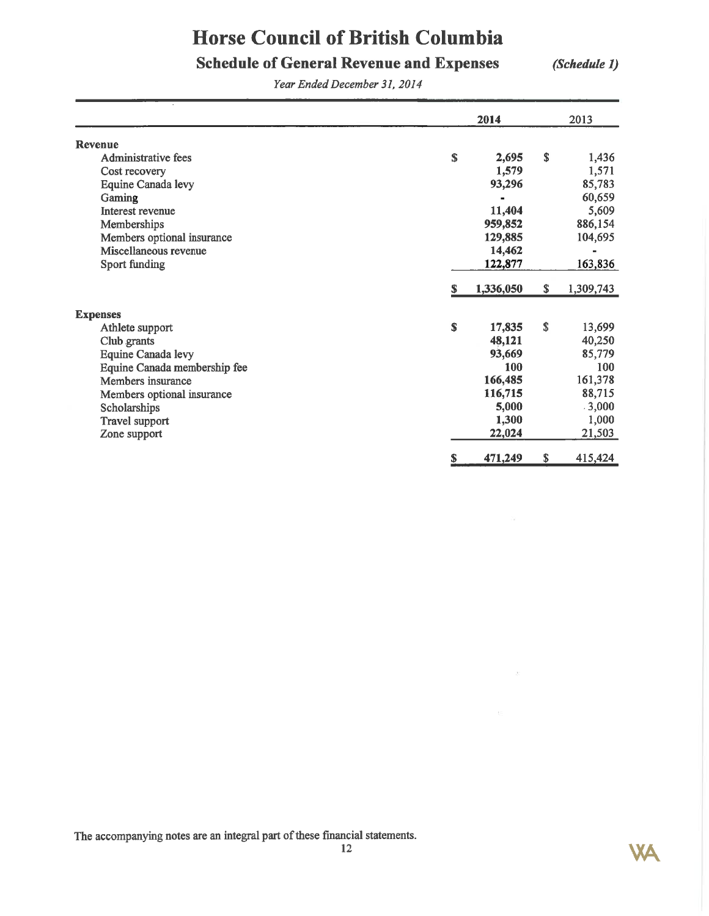# **Schedule of General Revenue and Expenses**

(Schedule 1)

 $\mathcal{R}^{\prime}$ 

**WA** 

Year Ended December 31, 2014

|                              |    | 2014      |    | 2013      |
|------------------------------|----|-----------|----|-----------|
| <b>Revenue</b>               |    |           |    |           |
| Administrative fees          | \$ | 2,695     | S  | 1,436     |
| Cost recovery                |    | 1,579     |    | 1,571     |
| Equine Canada levy           |    | 93,296    |    | 85,783    |
| Gaming                       |    |           |    | 60,659    |
| Interest revenue             |    | 11,404    |    | 5,609     |
| Memberships                  |    | 959,852   |    | 886,154   |
| Members optional insurance   |    | 129,885   |    | 104,695   |
| Miscellaneous revenue        |    | 14,462    |    |           |
| <b>Sport funding</b>         |    | 122,877   |    | 163,836   |
|                              | \$ | 1,336,050 | \$ | 1,309,743 |
| <b>Expenses</b>              |    |           |    |           |
| Athlete support              | \$ | 17,835    | \$ | 13,699    |
| Club grants                  |    | 48,121    |    | 40,250    |
| <b>Equine Canada levy</b>    |    | 93,669    |    | 85,779    |
| Equine Canada membership fee |    | 100       |    | 100       |
| Members insurance            |    | 166,485   |    | 161,378   |
| Members optional insurance   |    | 116,715   |    | 88,715    |
| Scholarships                 |    | 5,000     |    | .3,000    |
| Travel support               |    | 1,300     |    | 1,000     |
| Zone support                 |    | 22,024    |    | 21,503    |
|                              | S  | 471,249   | \$ | 415,424   |